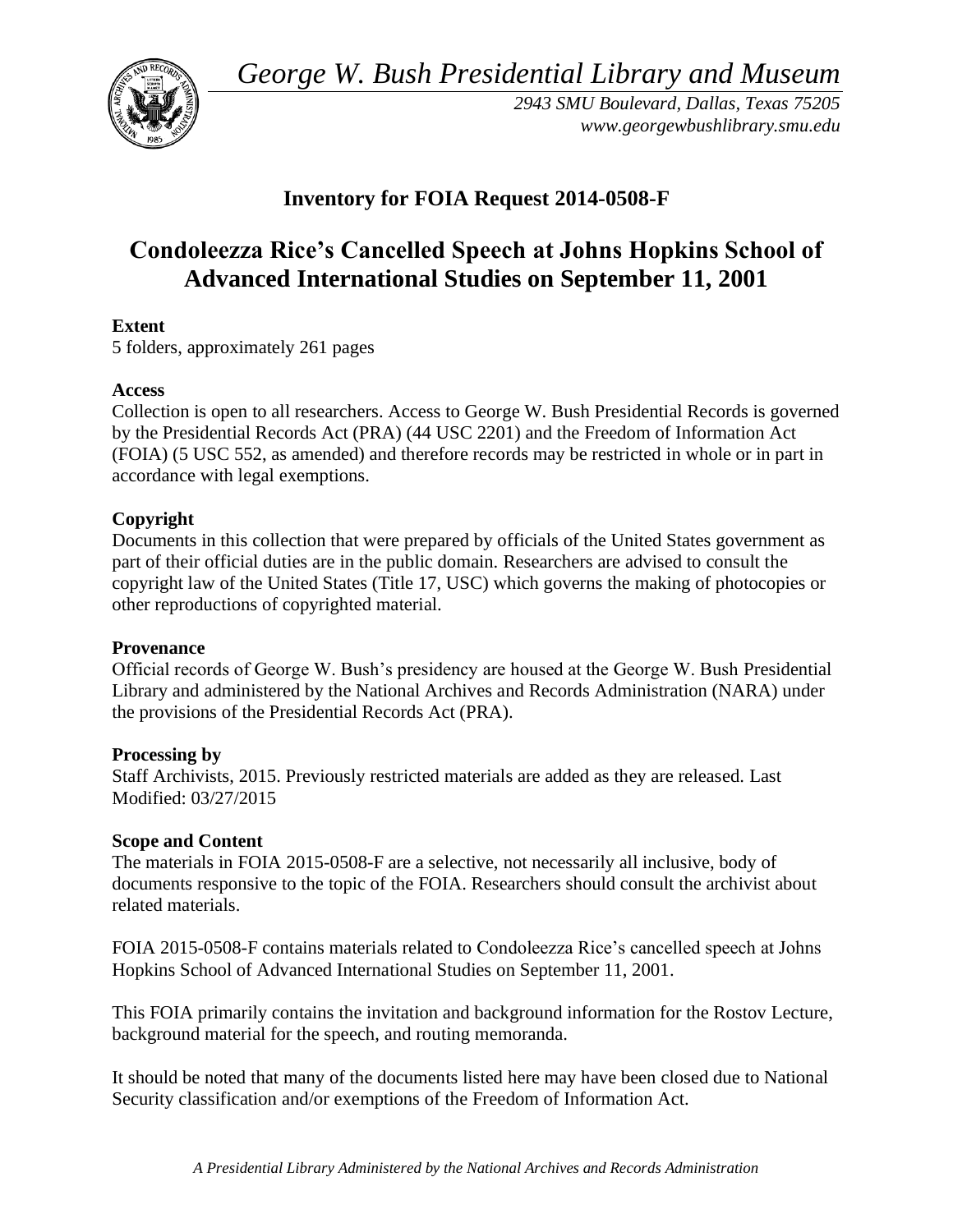*George W. Bush Presidential Library and Museum* 



*2943 SMU Boulevard, Dallas, Texas 75205 <www.georgewbushlibrary.smu.edu>* 

# **Inventory for FOIA Request 2014-0508-F**

# **Condoleezza Rice's Cancelled Speech at Johns Hopkins School of Advanced International Studies on September 11, 2001**

## **Extent**

5 folders, approximately 261 pages

#### **Access**

Collection is open to all researchers. Access to George W. Bush Presidential Records is governed by the Presidential Records Act (PRA) (44 USC 2201) and the Freedom of Information Act (FOIA) (5 USC 552, as amended) and therefore records may be restricted in whole or in part in accordance with legal exemptions.

## **Copyright**

 Documents in this collection that were prepared by officials of the United States government as part of their official duties are in the public domain. Researchers are advised to consult the copyright law of the United States (Title 17, USC) which governs the making of photocopies or other reproductions of copyrighted material.

#### **Provenance**

Official records of George W. Bush's presidency are housed at the George W. Bush Presidential Library and administered by the National Archives and Records Administration (NARA) under the provisions of the Presidential Records Act (PRA).

#### **Processing by**

Staff Archivists, 2015. Previously restricted materials are added as they are released. Last Modified: 03/27/2015

#### **Scope and Content**

 documents responsive to the topic of the FOIA. Researchers should consult the archivist about The materials in FOIA 2015-0508-F are a selective, not necessarily all inclusive, body of related materials.

FOIA 2015-0508-F contains materials related to Condoleezza Rice's cancelled speech at Johns Hopkins School of Advanced International Studies on September 11, 2001.

This FOIA primarily contains the invitation and background information for the Rostov Lecture, background material for the speech, and routing memoranda.

 It should be noted that many of the documents listed here may have been closed due to National Security classification and/or exemptions of the Freedom of Information Act.